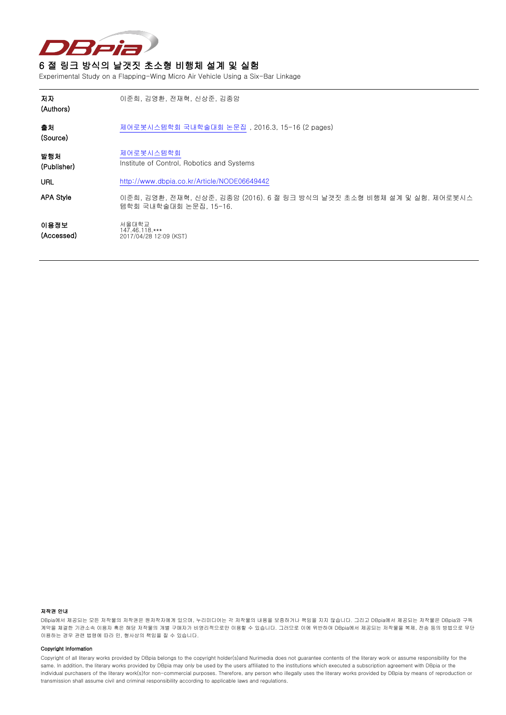

## 6 절 링크 방식의 날갯짓 초소형 비행체 설계 및 실험

Experimental Study on a Flapping-Wing Micro Air Vehicle Using a Six-Bar Linkage

| 저자<br>(Authors)    | 이준희, 김영환, 전재혁, 신상준, 김종암                                                                          |
|--------------------|--------------------------------------------------------------------------------------------------|
| 출처<br>(Source)     | 제어로봇시스템학회 국내학술대회 논문집, 2016.3, 15-16 (2 pages)                                                    |
| 발행치<br>(Publisher) | 제어로봇시스템학회<br>Institute of Control, Robotics and Systems                                          |
| URL                | http://www.dbpia.co.kr/Article/NODE06649442                                                      |
| <b>APA Style</b>   | 이준희, 김영환, 전재혁, 신상준, 김종암 (2016). 6 절 링크 방식의 날갯짓 초소형 비행체 설계 및 실험. 제어로봇시스<br>템학회 국내학술대회 논문집, 15-16. |
| 이용정보<br>(Accessed) | 서울대학교<br>147.46.118.***<br>2017/04/28 12:09 (KST)                                                |

#### 저작권 안내

DBpia에서 제공되는 모든 저작물의 저작권은 원저작자에게 있으며, 누리미디어는 각 저작물의 내용을 보증하거나 책임을 지지 않습니다. 그리고 DBpia에서 제공되는 저작물은 DBpia와 구독 계약을 체결한 기관소속 이용자 혹은 해당 저작물의 개별 구매자가 비영리적으로만 이용할 수 있습니다. 그러므로 이에 위반하여 DBpia에서 제공되는 저작물을 복제, 전송 등의 방법으로 무단 이용하는 경우 관련 법령에 따라 민, 형사상의 책임을 질 수 있습니다.

#### Copyright Information

Copyright of all literary works provided by DBpia belongs to the copyright holder(s)and Nurimedia does not guarantee contents of the literary work or assume responsibility for the same. In addition, the literary works provided by DBpia may only be used by the users affiliated to the institutions which executed a subscription agreement with DBpia or the individual purchasers of the literary work(s)for non-commercial purposes. Therefore, any person who illegally uses the literary works provided by DBpia by means of reproduction or transmission shall assume civil and criminal responsibility according to applicable laws and regulations.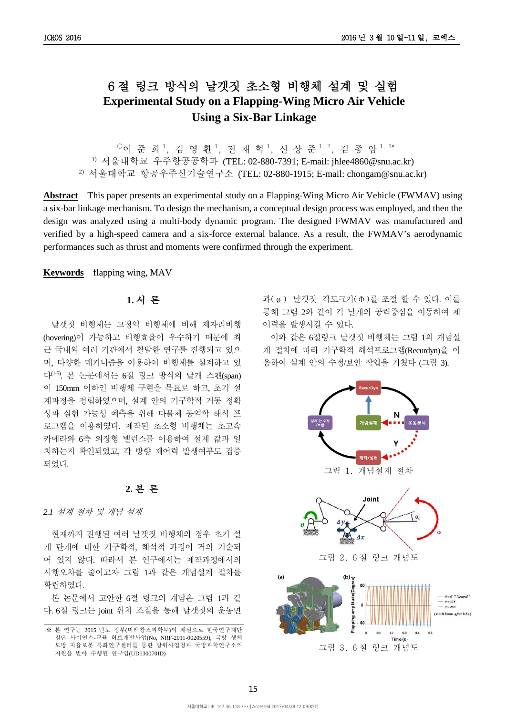# 6 절 링크 방식의 날갯짓 초소형 비행체 설계 및 실험 **Experimental Study on a Flapping-Wing Micro Air Vehicle Using a Six-Bar Linkage**

 $^{\circ}$ 이 준 희 $^{\,1},$  김 영 환 $^{\,1},$  전 재 혁 $^{\,1},$  신 상 준 $^{\,1,\,2},$  김 종 암 $^{\,1,\,2*}$ 1) 서울대학교 우주항공공학과 (TEL: 02-880-7391; E-mail: jhlee4860@snu.ac.kr) 2) 서울대학교 항공우주신기술연구소 (TEL: 02-880-1915; E-mail: chongam@snu.ac.kr)

**Abstract** This paper presents an experimental study on a Flapping-Wing Micro Air Vehicle (FWMAV) using a six-bar linkage mechanism. To design the mechanism, a conceptual design process was employed, and then the design was analyzed using a multi-body dynamic program. The designed FWMAV was manufactured and verified by a high-speed camera and a six-force external balance. As a result, the FWMAV's aerodynamic performances such as thrust and moments were confirmed through the experiment.

#### **Keywords** flapping wing, MAV

## **1.** 서 론

날갯짓 비행체는 고정익 비행체에 비해 제자리비행 (hovering)이 가능하고 비행효율이 우수하기 때문에 최 근 국내외 여러 기관에서 활발한 연구를 진행되고 있으 며, 다양한 메커니즘을 이용하여 비행체를 설계하고 있 다(1-5). 본 논문에서는 6절 링크 방식의 날개 스팬(span) 이 150mm 이하인 비행체 구현을 목표로 하고, 초기 설 계과정을 정립하였으며, 설계 안의 기구학적 거동 정확 성과 실현 가능성 예측을 위해 다물체 동역학 해석 프 로그램을 이용하였다. 제작된 초소형 비행체는 초고속 카메라와 6축 외장형 밸런스를 이용하여 설계 값과 일 치하는지 확인되었고, 각 방향 제어력 발생여부도 검증 되었다.

## **2.** 본 론

#### *2.1* 설계 절차 및 개념 설계

현재까지 진행된 여러 날갯짓 비행체의 경우 초기 설 계 단계에 대한 기구학적, 해석적 과정이 거의 기술되 어 있지 않다. 따라서 본 연구에서는 제작과정에서의 시행오차를 줄이고자 그림 1과 같은 개념설계 절차를 확립하였다.

본 논문에서 고안한 6절 링크의 개념은 그림 1과 같 다. 6절 링크는 joint 위치 조절을 통해 날갯짓의 운동면

과(ø) 날갯짓 각도크기(Φ)를 조절 할 수 있다. 이를 통해 그림 2와 같이 각 날개의 공력중심을 이동하여 제 어력을 발생시킬 수 있다.

이와 같은 6절링크 날갯짓 비행체는 그림 1의 개념설 계 절차에 따라 기구학적 해석프로그램(Recurdyn)을 이 용하여 설계 안의 수정/보안 작업을 거쳤다 (그림 3).



<sup>※</sup> 본 연구는 2015 년도 정부(미래창조과학부)의 재원으로 한국연구재단 첨단 사이언스-교육 허브개발사업(No, NRF-2011-0020559), 국방 생체 모방 자율로봇 특화연구센터를 통한 방위사업청과 국방과학연구소의 지원을 받아 수행된 연구임(UD130070ID)